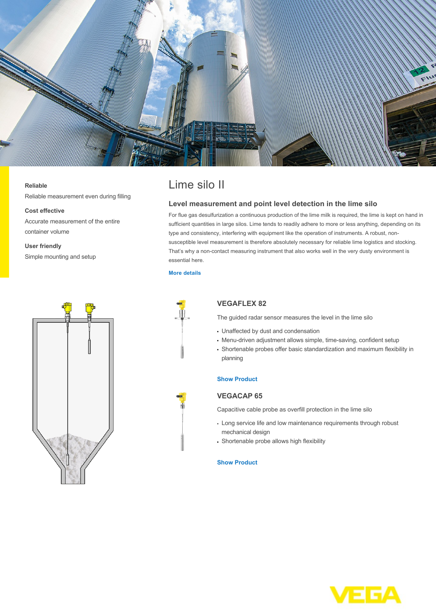

#### **Reliable**

Reliable measurement even during filling

#### **Cost effective**

Accurate measurement of the entire container volume

## **User friendly**

Simple mounting and setup



# Lime silo II

## **Level measurement and point level detection in the lime silo**

For flue gas desulfurization a continuous production of the lime milk is required, the lime is kept on hand in sufficient quantities in large silos. Lime tends to readily adhere to more or less anything, depending on its type and consistency, interfering with equipment like the operation of instruments. A robust, nonsusceptible level measurement is therefore absolutely necessary for reliable lime logistics and stocking. That's why a non-contact measuring instrument that also works well in the very dusty environment is essential here.

## **[More details](http://localhost/en-us/industries/energy/coal-power-plant/lime-silo-ii)**



# **VEGAFLEX 82**

The guided radar sensor measures the level in the lime silo

- Unaffected by dust and condensation
- Menu-driven adjustment allows simple, time-saving, confident setup
- Shortenable probes offer basic standardization and maximum flexibility in planning

## **[Show Product](http://localhost/en-us/products/product-catalog/level/guided-wave-radar/vegaflex-82)**

# **VEGACAP 65**

Capacitive cable probe as overfill protection in the lime silo

- Long service life and low maintenance requirements through robust mechanical design
- Shortenable probe allows high flexibility

#### **[Show Product](http://localhost/en-us/products/product-catalog/switching/capacitive/vegacap-65)**